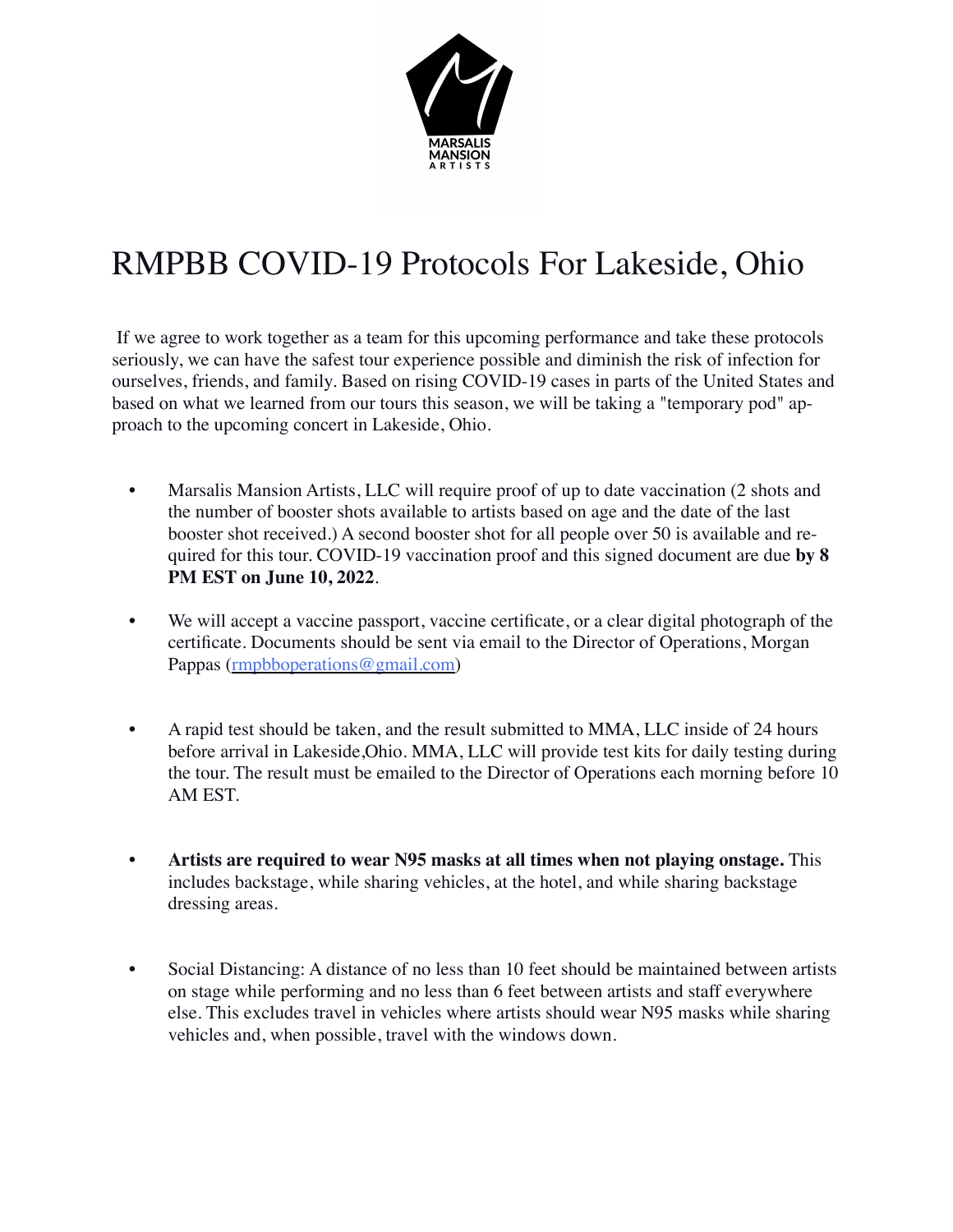

## RMPBB COVID-19 Protocols For Lakeside, Ohio

If we agree to work together as a team for this upcoming performance and take these protocols seriously, we can have the safest tour experience possible and diminish the risk of infection for ourselves, friends, and family. Based on rising COVID-19 cases in parts of the United States and based on what we learned from our tours this season, we will be taking a "temporary pod" approach to the upcoming concert in Lakeside, Ohio.

- Marsalis Mansion Artists, LLC will require proof of up to date vaccination (2 shots and the number of booster shots available to artists based on age and the date of the last booster shot received.) A second booster shot for all people over 50 is available and required for this tour. COVID-19 vaccination proof and this signed document are due **by 8 PM EST on June 10, 2022**.
- We will accept a vaccine passport, vaccine certificate, or a clear digital photograph of the certificate. Documents should be sent via email to the Director of Operations, Morgan Pappas ([rmpbboperations@gmail.com](mailto:rmpbboperations@gmail.com))
- A rapid test should be taken, and the result submitted to MMA, LLC inside of 24 hours before arrival in Lakeside,Ohio. MMA, LLC will provide test kits for daily testing during the tour. The result must be emailed to the Director of Operations each morning before 10 AM EST.
- **• Artists are required to wear N95 masks at all times when not playing onstage.** This includes backstage, while sharing vehicles, at the hotel, and while sharing backstage dressing areas.
- Social Distancing: A distance of no less than 10 feet should be maintained between artists on stage while performing and no less than 6 feet between artists and staff everywhere else. This excludes travel in vehicles where artists should wear N95 masks while sharing vehicles and, when possible, travel with the windows down.